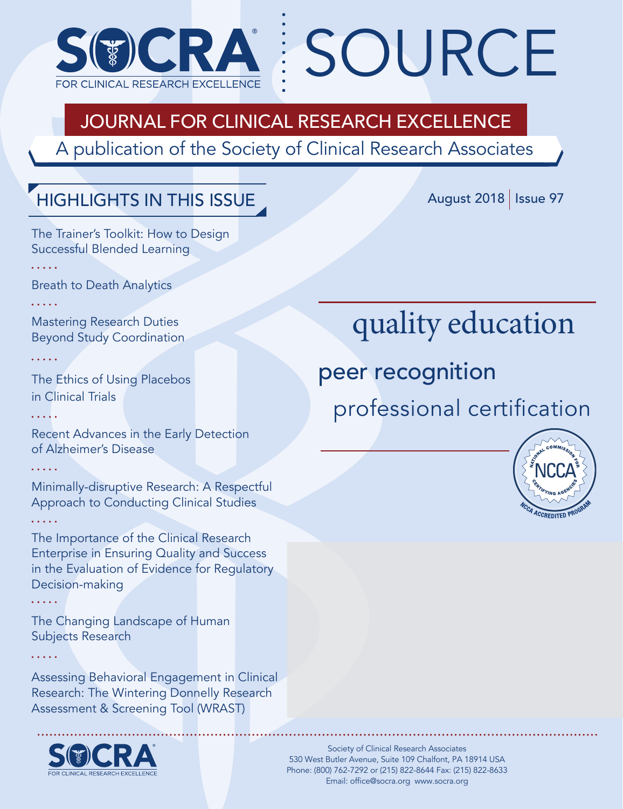

# Journal for Clinical Research Excellence

A publication of the Society of Clinical Research Associates

# Highlights In This Issue

August 2018 | Issue 97

The Trainer's Toolkit: How to Design Successful Blended Learning

Breath to Death Analytics

. . . . .

Mastering Research Duties Beyond Study Coordination

The Ethics of Using Placebos in Clinical Trials

Recent Advances in the Early Detection of Alzheimer's Disease

Minimally-disruptive Research: A Respectful Approach to Conducting Clinical Studies

The Importance of the Clinical Research Enterprise in Ensuring Quality and Success in the Evaluation of Evidence for Regulatory Decision-making

The Changing Landscape of Human Subjects Research

Assessing Behavioral Engagement in Clinical Research: The Wintering Donnelly Research Assessment & Screening Tool (WRAST)



# quality education

peer recognition

SOURCE

professional certification



Society of Clinical Research Associates 530 West Butler Avenue, Suite 109 Chalfont, PA 18914 USA Phone: (800) 762-7292 or (215) 822-8644 Fax: (215) 822-8633 Email: office@socra.org www.socra.org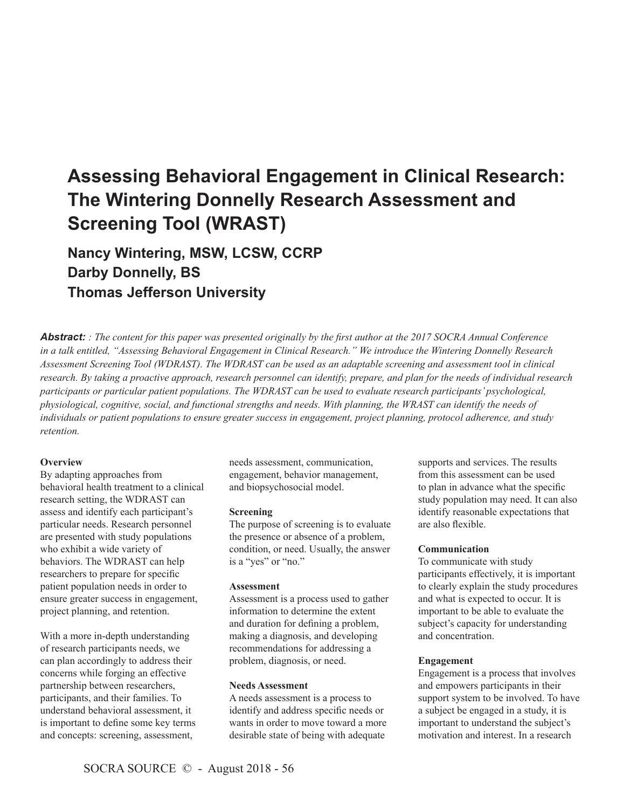# **Assessing Behavioral Engagement in Clinical Research: The Wintering Donnelly Research Assessment and Screening Tool (WRAST)**

**Nancy Wintering, MSW, LCSW, CCRP Darby Donnelly, BS Thomas Jefferson University**

*Abstract: : The content for this paper was presented originally by the first author at the 2017 SOCRA Annual Conference in a talk entitled, "Assessing Behavioral Engagement in Clinical Research." We introduce the Wintering Donnelly Research Assessment Screening Tool (WDRAST). The WDRAST can be used as an adaptable screening and assessment tool in clinical research. By taking a proactive approach, research personnel can identify, prepare, and plan for the needs of individual research participants or particular patient populations. The WDRAST can be used to evaluate research participants' psychological, physiological, cognitive, social, and functional strengths and needs. With planning, the WRAST can identify the needs of individuals or patient populations to ensure greater success in engagement, project planning, protocol adherence, and study retention.* 

# **Overview**

By adapting approaches from behavioral health treatment to a clinical research setting, the WDRAST can assess and identify each participant's particular needs. Research personnel are presented with study populations who exhibit a wide variety of behaviors. The WDRAST can help researchers to prepare for specific patient population needs in order to ensure greater success in engagement, project planning, and retention.

With a more in-depth understanding of research participants needs, we can plan accordingly to address their concerns while forging an effective partnership between researchers, participants, and their families. To understand behavioral assessment, it is important to define some key terms and concepts: screening, assessment,

needs assessment, communication, engagement, behavior management, and biopsychosocial model.

#### **Screening**

The purpose of screening is to evaluate the presence or absence of a problem, condition, or need. Usually, the answer is a "yes" or "no."

#### **Assessment**

Assessment is a process used to gather information to determine the extent and duration for defining a problem, making a diagnosis, and developing recommendations for addressing a problem, diagnosis, or need.

#### **Needs Assessment**

A needs assessment is a process to identify and address specific needs or wants in order to move toward a more desirable state of being with adequate

supports and services. The results from this assessment can be used to plan in advance what the specific study population may need. It can also identify reasonable expectations that are also flexible.

#### **Communication**

To communicate with study participants effectively, it is important to clearly explain the study procedures and what is expected to occur. It is important to be able to evaluate the subject's capacity for understanding and concentration.

#### **Engagement**

Engagement is a process that involves and empowers participants in their support system to be involved. To have a subject be engaged in a study, it is important to understand the subject's motivation and interest. In a research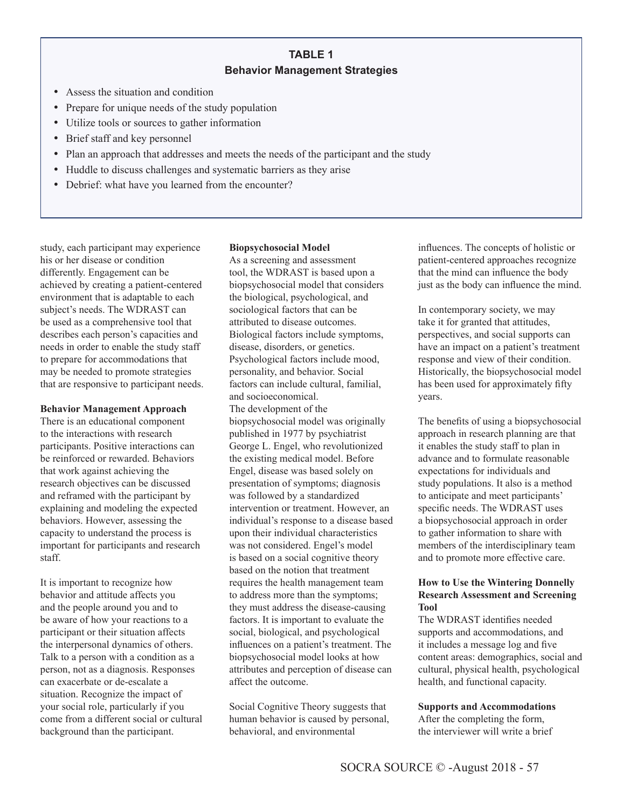# **TABLE 1 Behavior Management Strategies**

- Assess the situation and condition
- Prepare for unique needs of the study population
- Utilize tools or sources to gather information
- Brief staff and key personnel
- Plan an approach that addresses and meets the needs of the participant and the study
- Huddle to discuss challenges and systematic barriers as they arise
- Debrief: what have you learned from the encounter?

study, each participant may experience his or her disease or condition differently. Engagement can be achieved by creating a patient-centered environment that is adaptable to each subject's needs. The WDRAST can be used as a comprehensive tool that describes each person's capacities and needs in order to enable the study staff to prepare for accommodations that may be needed to promote strategies that are responsive to participant needs.

#### **Behavior Management Approach**

There is an educational component to the interactions with research participants. Positive interactions can be reinforced or rewarded. Behaviors that work against achieving the research objectives can be discussed and reframed with the participant by explaining and modeling the expected behaviors. However, assessing the capacity to understand the process is important for participants and research staff.

It is important to recognize how behavior and attitude affects you and the people around you and to be aware of how your reactions to a participant or their situation affects the interpersonal dynamics of others. Talk to a person with a condition as a person, not as a diagnosis. Responses can exacerbate or de-escalate a situation. Recognize the impact of your social role, particularly if you come from a different social or cultural background than the participant.

#### **Biopsychosocial Model**

As a screening and assessment tool, the WDRAST is based upon a biopsychosocial model that considers the biological, psychological, and sociological factors that can be attributed to disease outcomes. Biological factors include symptoms, disease, disorders, or genetics. Psychological factors include mood, personality, and behavior. Social factors can include cultural, familial, and socioeconomical. The development of the biopsychosocial model was originally published in 1977 by psychiatrist George L. Engel, who revolutionized the existing medical model. Before Engel, disease was based solely on presentation of symptoms; diagnosis was followed by a standardized intervention or treatment. However, an individual's response to a disease based upon their individual characteristics was not considered. Engel's model is based on a social cognitive theory based on the notion that treatment requires the health management team to address more than the symptoms; they must address the disease-causing factors. It is important to evaluate the social, biological, and psychological influences on a patient's treatment. The biopsychosocial model looks at how attributes and perception of disease can affect the outcome.

Social Cognitive Theory suggests that human behavior is caused by personal, behavioral, and environmental

influences. The concepts of holistic or patient-centered approaches recognize that the mind can influence the body just as the body can influence the mind.

In contemporary society, we may take it for granted that attitudes, perspectives, and social supports can have an impact on a patient's treatment response and view of their condition. Historically, the biopsychosocial model has been used for approximately fifty years.

The benefits of using a biopsychosocial approach in research planning are that it enables the study staff to plan in advance and to formulate reasonable expectations for individuals and study populations. It also is a method to anticipate and meet participants' specific needs. The WDRAST uses a biopsychosocial approach in order to gather information to share with members of the interdisciplinary team and to promote more effective care.

# **How to Use the Wintering Donnelly Research Assessment and Screening Tool**

The WDRAST identifies needed supports and accommodations, and it includes a message log and five content areas: demographics, social and cultural, physical health, psychological health, and functional capacity.

# **Supports and Accommodations**

After the completing the form, the interviewer will write a brief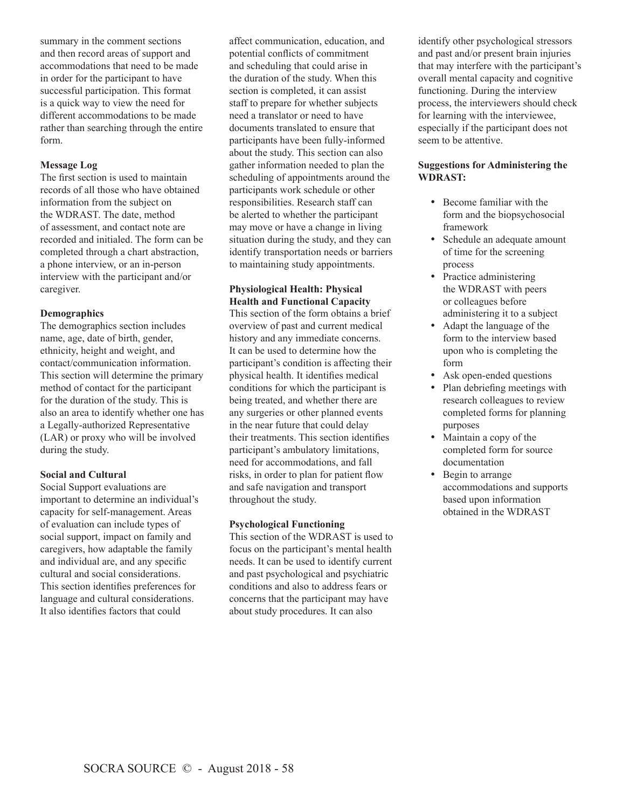summary in the comment sections and then record areas of support and accommodations that need to be made in order for the participant to have successful participation. This format is a quick way to view the need for different accommodations to be made rather than searching through the entire form.

# **Message Log**

The first section is used to maintain records of all those who have obtained information from the subject on the WDRAST. The date, method of assessment, and contact note are recorded and initialed. The form can be completed through a chart abstraction, a phone interview, or an in-person interview with the participant and/or caregiver.

# **Demographics**

The demographics section includes name, age, date of birth, gender, ethnicity, height and weight, and contact/communication information. This section will determine the primary method of contact for the participant for the duration of the study. This is also an area to identify whether one has a Legally-authorized Representative (LAR) or proxy who will be involved during the study.

# **Social and Cultural**

Social Support evaluations are important to determine an individual's capacity for self-management. Areas of evaluation can include types of social support, impact on family and caregivers, how adaptable the family and individual are, and any specific cultural and social considerations. This section identifies preferences for language and cultural considerations. It also identifies factors that could

affect communication, education, and potential conflicts of commitment and scheduling that could arise in the duration of the study. When this section is completed, it can assist staff to prepare for whether subjects need a translator or need to have documents translated to ensure that participants have been fully-informed about the study. This section can also gather information needed to plan the scheduling of appointments around the participants work schedule or other responsibilities. Research staff can be alerted to whether the participant may move or have a change in living situation during the study, and they can identify transportation needs or barriers to maintaining study appointments.

# **Physiological Health: Physical Health and Functional Capacity**

This section of the form obtains a brief overview of past and current medical history and any immediate concerns. It can be used to determine how the participant's condition is affecting their physical health. It identifies medical conditions for which the participant is being treated, and whether there are any surgeries or other planned events in the near future that could delay their treatments. This section identifies participant's ambulatory limitations, need for accommodations, and fall risks, in order to plan for patient flow and safe navigation and transport throughout the study.

# **Psychological Functioning**

This section of the WDRAST is used to focus on the participant's mental health needs. It can be used to identify current and past psychological and psychiatric conditions and also to address fears or concerns that the participant may have about study procedures. It can also

identify other psychological stressors and past and/or present brain injuries that may interfere with the participant's overall mental capacity and cognitive functioning. During the interview process, the interviewers should check for learning with the interviewee, especially if the participant does not seem to be attentive.

# **Suggestions for Administering the WDRAST:**

- Become familiar with the form and the biopsychosocial framework
- Schedule an adequate amount of time for the screening process
- Practice administering the WDRAST with peers or colleagues before administering it to a subject
- Adapt the language of the form to the interview based upon who is completing the form
- Ask open-ended questions
- Plan debriefing meetings with research colleagues to review completed forms for planning purposes
- Maintain a copy of the completed form for source documentation
- Begin to arrange accommodations and supports based upon information obtained in the WDRAST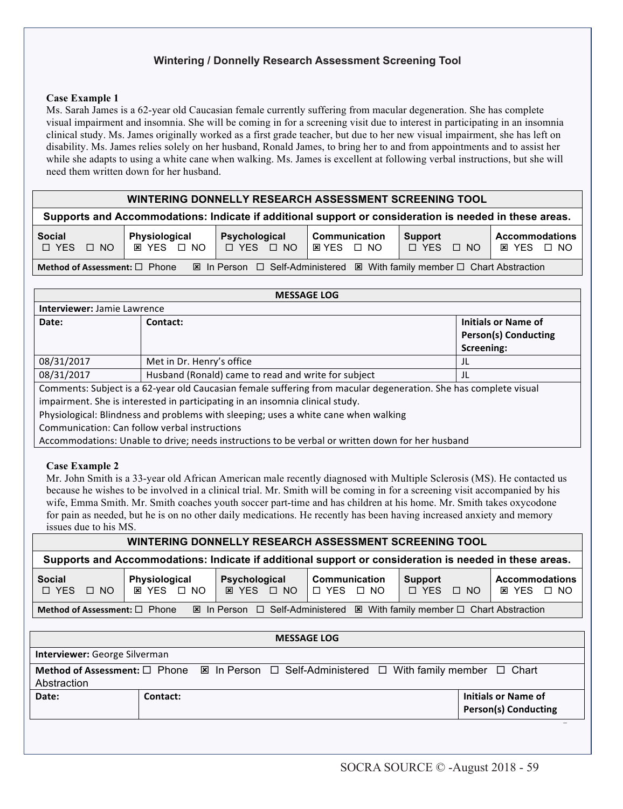# **Wintering / Donnelly Research Assessment Screening Tool**

#### **Case Example 1**

Ms. Sarah James is a 62-year old Caucasian female currently suffering from macular degeneration. She has complete visual impairment and insomnia. She will be coming in for a screening visit due to interest in participating in an insomnia clinical study. Ms. James originally worked as a first grade teacher, but due to her new visual impairment, she has left on disability. Ms. James relies solely on her husband, Ronald James, to bring her to and from appointments and to assist her while she adapts to using a white cane when walking. Ms. James is excellent at following verbal instructions, but she will need them written down for her husband.

# **WINTERING DONNELLY RESEARCH ASSESSMENT SCREENING TOOL**

**Supports and Accommodations: Indicate if additional support or consideration is needed in these areas.**

| <b>Social</b><br>□ YES<br>$\Box$ NO                                                                               | <b>Physiological</b><br><b>⊠ YES □ NO</b> | Psychological<br>$\Box$ YES $\Box$ NO | <b>Communication</b><br>I⊠YES □ NO | Support<br>$\Box$ YES $\Box$ NO | <b>Accommodations</b><br>⊠ YES □ NO |  |
|-------------------------------------------------------------------------------------------------------------------|-------------------------------------------|---------------------------------------|------------------------------------|---------------------------------|-------------------------------------|--|
| 図 In Person □ Self-Administered 図 With family member □ Chart Abstraction<br>Method of Assessment: $\square$ Phone |                                           |                                       |                                    |                                 |                                     |  |

|                             | <b>MESSAGE LOG</b>                                                                                                                                                                                                            |                             |
|-----------------------------|-------------------------------------------------------------------------------------------------------------------------------------------------------------------------------------------------------------------------------|-----------------------------|
| Interviewer: Jamie Lawrence |                                                                                                                                                                                                                               |                             |
| Date:                       | Contact:                                                                                                                                                                                                                      | <b>Initials or Name of</b>  |
|                             |                                                                                                                                                                                                                               | <b>Person(s) Conducting</b> |
|                             |                                                                                                                                                                                                                               | Screening:                  |
| 08/31/2017                  | Met in Dr. Henry's office                                                                                                                                                                                                     | JL                          |
| 08/31/2017                  | Husband (Ronald) came to read and write for subject                                                                                                                                                                           | JL                          |
|                             | Comments: Subject is a 62-year old Caucasian female suffering from macular degeneration. She has complete visual                                                                                                              |                             |
|                             | impairment. She is interested in participating in an insomnia clinical study.                                                                                                                                                 |                             |
|                             | Physiological: Blindness and problems with sleeping; uses a white cane when walking                                                                                                                                           |                             |
|                             | Communication: Can follow verbal instructions                                                                                                                                                                                 |                             |
|                             | A common calculation of the delighteral memoral incumentations are the common construction of the description of the design of the second second second second second second second second second second second second second |                             |

| Accommodations: Unable to drive; needs instructions to be verbal or written down for her husband

#### **Case Example 2**

Mr. John Smith is a 33-year old African American male recently diagnosed with Multiple Sclerosis (MS). He contacted us because he wishes to be involved in a clinical trial. Mr. Smith will be coming in for a screening visit accompanied by his wife, Emma Smith. Mr. Smith coaches youth soccer part-time and has children at his home. Mr. Smith takes oxycodone for pain as needed, but he is on no other daily medications. He recently has been having increased anxiety and memory issues due to his MS.

# **WINTERING DONNELLY RESEARCH ASSESSMENT SCREENING TOOL**

**Supports and Accommodations: Indicate if additional support or consideration is needed in these areas.**

| <b>Social</b>                                                                                                                         | <b>Physiological</b> | Psychological     | l Communication        | Support              | <b>Accommodations</b> |  |
|---------------------------------------------------------------------------------------------------------------------------------------|----------------------|-------------------|------------------------|----------------------|-----------------------|--|
| $\Box$ YES $\Box$ NO                                                                                                                  | <b>⊠ YES □ NO</b>    | <b>⊠ YES □ NO</b> | NICI YESI<br>$\Box$ No | $\Box$ NO<br>D YES ⊺ | EX YES □ NO           |  |
| $\boxtimes$ In Person □ Self-Administered $\boxtimes$ With family member □ Chart Abstraction<br>Method of Assessment: $\square$ Phone |                      |                   |                        |                      |                       |  |

|                                                                                                                                         |          |  | <b>MESSAGE LOG</b> |  |                                                           |  |  |
|-----------------------------------------------------------------------------------------------------------------------------------------|----------|--|--------------------|--|-----------------------------------------------------------|--|--|
| <b>Interviewer:</b> George Silverman                                                                                                    |          |  |                    |  |                                                           |  |  |
| Method of Assessment: $\Box$ Phone $\boxtimes$ In Person $\Box$ Self-Administered $\Box$ With family member $\Box$ Chart<br>Abstraction |          |  |                    |  |                                                           |  |  |
| Date:                                                                                                                                   | Contact: |  |                    |  | <b>Initials or Name of</b><br><b>Person(s) Conducting</b> |  |  |
|                                                                                                                                         |          |  |                    |  |                                                           |  |  |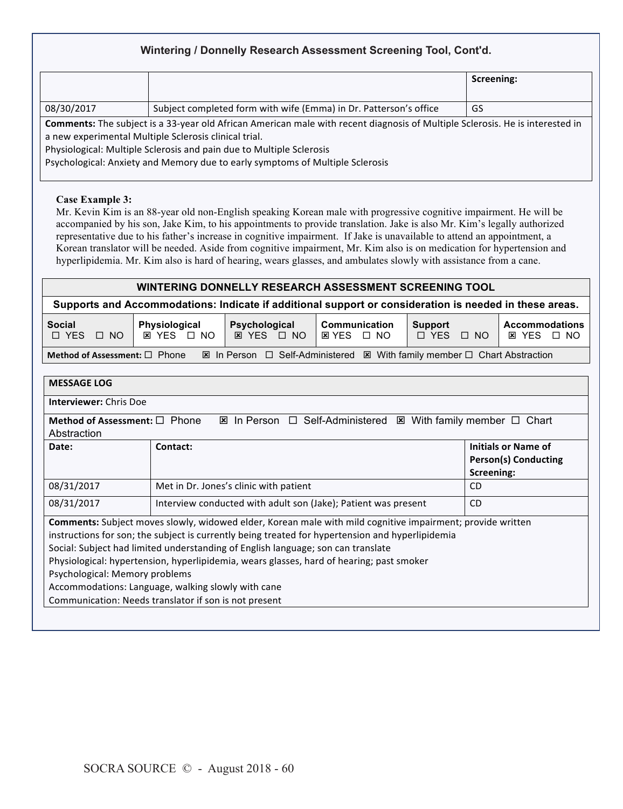# **Wintering / Donnelly Research Assessment Screening Tool, Cont'd.**

|                                                                               |                                                                                                                               | Screening: |  |  |  |  |
|-------------------------------------------------------------------------------|-------------------------------------------------------------------------------------------------------------------------------|------------|--|--|--|--|
| 08/30/2017                                                                    | Subject completed form with wife (Emma) in Dr. Patterson's office                                                             | GS         |  |  |  |  |
|                                                                               | Comments: The subject is a 33-year old African American male with recent diagnosis of Multiple Sclerosis. He is interested in |            |  |  |  |  |
|                                                                               | a new experimental Multiple Sclerosis clinical trial.                                                                         |            |  |  |  |  |
|                                                                               | Physiological: Multiple Sclerosis and pain due to Multiple Sclerosis                                                          |            |  |  |  |  |
| Psychological: Anxiety and Memory due to early symptoms of Multiple Sclerosis |                                                                                                                               |            |  |  |  |  |
|                                                                               |                                                                                                                               |            |  |  |  |  |

# **Case Example 3:**

Mr. Kevin Kim is an 88-year old non-English speaking Korean male with progressive cognitive impairment. He will be accompanied by his son, Jake Kim, to his appointments to provide translation. Jake is also Mr. Kim's legally authorized representative due to his father's increase in cognitive impairment. If Jake is unavailable to attend an appointment, a Korean translator will be needed. Aside from cognitive impairment, Mr. Kim also is on medication for hypertension and hyperlipidemia. Mr. Kim also is hard of hearing, wears glasses, and ambulates slowly with assistance from a cane.

# **WINTERING DONNELLY RESEARCH ASSESSMENT SCREENING TOOL**

**Supports and Accommodations: Indicate if additional support or consideration is needed in these areas.**

| <b>Social</b><br>D YES<br>⁄ □ NO                                                                                                      | Physiological<br><b>EX YES □ NO</b> | Psychological<br><b>EX YES □ NO</b> | Communication<br><b>⊠YES □ NO</b> | <b>Support</b><br>□ YES<br>$\Box$ NO | <b>Accommodations</b><br>EX YES □ NO |  |
|---------------------------------------------------------------------------------------------------------------------------------------|-------------------------------------|-------------------------------------|-----------------------------------|--------------------------------------|--------------------------------------|--|
| $\boxtimes$ In Person □ Self-Administered $\boxtimes$ With family member □ Chart Abstraction<br>Method of Assessment: $\square$ Phone |                                     |                                     |                                   |                                      |                                      |  |

| <b>MESSAGE LOG</b>                                                                                                                                                                                                                                                                                                                                                                                                                                                                                                                                     |                                                                             |                                                           |  |  |  |  |
|--------------------------------------------------------------------------------------------------------------------------------------------------------------------------------------------------------------------------------------------------------------------------------------------------------------------------------------------------------------------------------------------------------------------------------------------------------------------------------------------------------------------------------------------------------|-----------------------------------------------------------------------------|-----------------------------------------------------------|--|--|--|--|
| <b>Interviewer: Chris Doe</b>                                                                                                                                                                                                                                                                                                                                                                                                                                                                                                                          |                                                                             |                                                           |  |  |  |  |
| Method of Assessment: $\Box$ Phone<br>Abstraction                                                                                                                                                                                                                                                                                                                                                                                                                                                                                                      | <b>EX In Person □ Self-Administered</b>                                     | ⊠ With family member $□$ Chart                            |  |  |  |  |
| Date:                                                                                                                                                                                                                                                                                                                                                                                                                                                                                                                                                  | Contact:                                                                    | Initials or Name of<br>Person(s) Conducting<br>Screening: |  |  |  |  |
| 08/31/2017                                                                                                                                                                                                                                                                                                                                                                                                                                                                                                                                             | Met in Dr. Jones's clinic with patient                                      | CD.                                                       |  |  |  |  |
| 08/31/2017                                                                                                                                                                                                                                                                                                                                                                                                                                                                                                                                             | Interview conducted with adult son (Jake); Patient was present<br><b>CD</b> |                                                           |  |  |  |  |
| <b>Comments:</b> Subject moves slowly, widowed elder, Korean male with mild cognitive impairment; provide written<br>instructions for son; the subject is currently being treated for hypertension and hyperlipidemia<br>Social: Subject had limited understanding of English language; son can translate<br>Physiological: hypertension, hyperlipidemia, wears glasses, hard of hearing; past smoker<br>Psychological: Memory problems<br>Accommodations: Language, walking slowly with cane<br>Communication: Needs translator if son is not present |                                                                             |                                                           |  |  |  |  |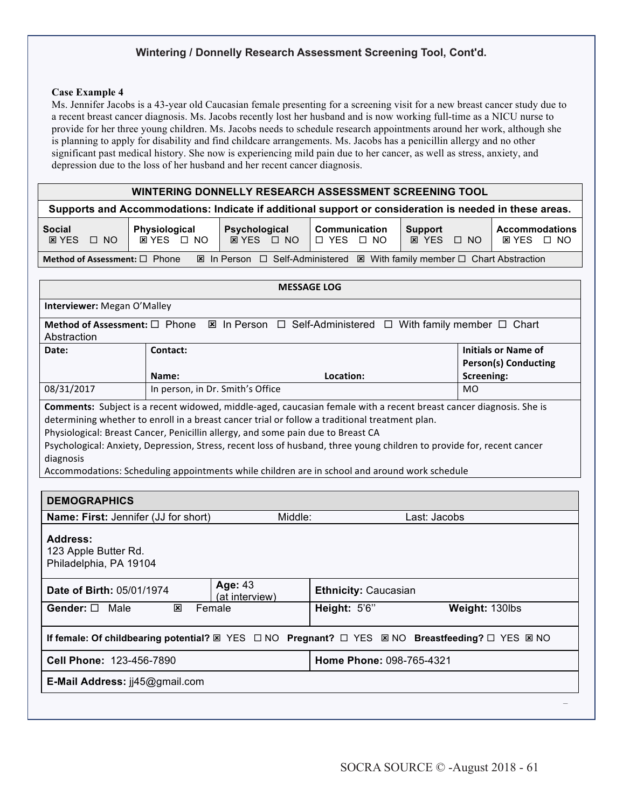# **Wintering / Donnelly Research Assessment Screening Tool, Cont'd.**

#### **Case Example 4**

Ms. Jennifer Jacobs is a 43-year old Caucasian female presenting for a screening visit for a new breast cancer study due to a recent breast cancer diagnosis. Ms. Jacobs recently lost her husband and is now working full-time as a NICU nurse to provide for her three young children. Ms. Jacobs needs to schedule research appointments around her work, although she is planning to apply for disability and find childcare arrangements. Ms. Jacobs has a penicillin allergy and no other significant past medical history. She now is experiencing mild pain due to her cancer, as well as stress, anxiety, and depression due to the loss of her husband and her recent cancer diagnosis.

# **WINTERING DONNELLY RESEARCH ASSESSMENT SCREENING TOOL**

| Supports and Accommodations: Indicate if additional support or consideration is needed in these areas.                     |                                     |                                        |                                              |                                              |                                                     |  |
|----------------------------------------------------------------------------------------------------------------------------|-------------------------------------|----------------------------------------|----------------------------------------------|----------------------------------------------|-----------------------------------------------------|--|
| <b>Social</b><br>$\Box$ NO<br><b>EX YES</b>                                                                                | Physiological<br><b>EX YES □ NO</b> | <b>Psychological</b><br>$RYES \cap NO$ | <b>Communication</b><br>I ⊓ YES<br>$\Box$ No | <b>Support</b><br><b>EX YES</b><br>$\Box$ NO | <b>Accommodations</b><br><b>EX YES</b><br>$\Box$ No |  |
| ⊠ With family member $□$ Chart Abstraction<br><b>⊠</b> In Person □ Self-Administered<br>Method of Assessment: $\Box$ Phone |                                     |                                        |                                              |                                              |                                                     |  |

|                                                                                                 |                                                                                                                                                                                                                                                                                                                                                                                                               |                                  | <b>MESSAGE LOG</b>          |              |                                                           |  |  |
|-------------------------------------------------------------------------------------------------|---------------------------------------------------------------------------------------------------------------------------------------------------------------------------------------------------------------------------------------------------------------------------------------------------------------------------------------------------------------------------------------------------------------|----------------------------------|-----------------------------|--------------|-----------------------------------------------------------|--|--|
| Interviewer: Megan O'Malley                                                                     |                                                                                                                                                                                                                                                                                                                                                                                                               |                                  |                             |              |                                                           |  |  |
| Abstraction                                                                                     |                                                                                                                                                                                                                                                                                                                                                                                                               |                                  |                             |              |                                                           |  |  |
| Date:                                                                                           | Contact:                                                                                                                                                                                                                                                                                                                                                                                                      |                                  |                             |              | <b>Initials or Name of</b><br><b>Person(s) Conducting</b> |  |  |
|                                                                                                 | Name:                                                                                                                                                                                                                                                                                                                                                                                                         |                                  | Location:                   |              | Screening:                                                |  |  |
| 08/31/2017                                                                                      |                                                                                                                                                                                                                                                                                                                                                                                                               | In person, in Dr. Smith's Office |                             |              | <b>MO</b>                                                 |  |  |
| diagnosis<br><b>DEMOGRAPHICS</b>                                                                | determining whether to enroll in a breast cancer trial or follow a traditional treatment plan.<br>Physiological: Breast Cancer, Penicillin allergy, and some pain due to Breast CA<br>Psychological: Anxiety, Depression, Stress, recent loss of husband, three young children to provide for, recent cancer<br>Accommodations: Scheduling appointments while children are in school and around work schedule |                                  |                             |              |                                                           |  |  |
| <b>Name: First:</b> Jennifer (JJ for short)                                                     |                                                                                                                                                                                                                                                                                                                                                                                                               | Middle:                          |                             | Last: Jacobs |                                                           |  |  |
| Address:<br>123 Apple Butter Rd.<br>Philadelphia, PA 19104                                      |                                                                                                                                                                                                                                                                                                                                                                                                               |                                  |                             |              |                                                           |  |  |
| Date of Birth: 05/01/1974                                                                       |                                                                                                                                                                                                                                                                                                                                                                                                               | Age: 43<br>(at interview)        | <b>Ethnicity: Caucasian</b> |              |                                                           |  |  |
| Gender: □ Male                                                                                  | Height: 5'6"<br>Female<br>区<br>Weight: 130lbs                                                                                                                                                                                                                                                                                                                                                                 |                                  |                             |              |                                                           |  |  |
| If female: Of childbearing potential? 図 YES □ NO Pregnant? □ YES 図 NO Breastfeeding? □ YES 図 NO |                                                                                                                                                                                                                                                                                                                                                                                                               |                                  |                             |              |                                                           |  |  |
| Cell Phone: 123-456-7890                                                                        |                                                                                                                                                                                                                                                                                                                                                                                                               |                                  | Home Phone: 098-765-4321    |              |                                                           |  |  |
| E-Mail Address: jj45@gmail.com                                                                  |                                                                                                                                                                                                                                                                                                                                                                                                               |                                  |                             |              |                                                           |  |  |
|                                                                                                 |                                                                                                                                                                                                                                                                                                                                                                                                               |                                  |                             |              |                                                           |  |  |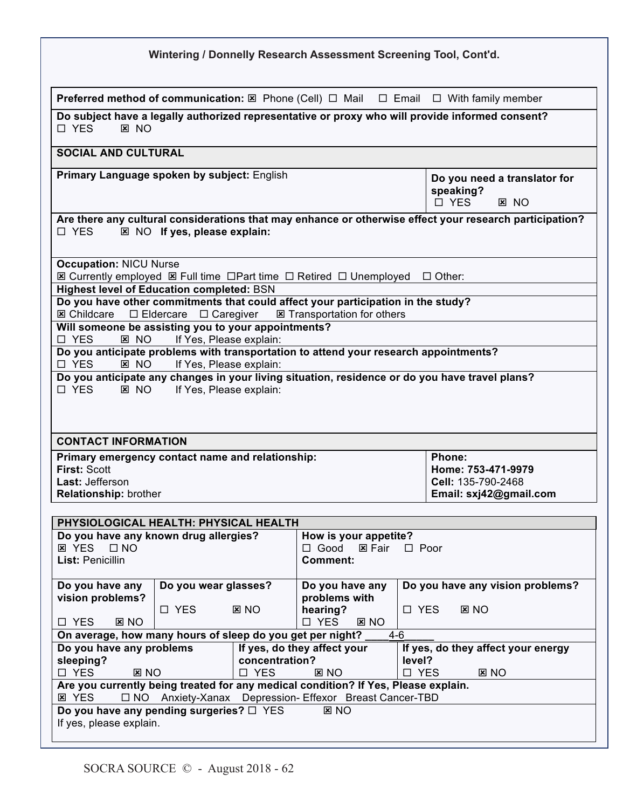|                                                                                                                            |                                                    |             | Wintering / Donnelly Research Assessment Screening Tool, Cont'd.                                                       |             |                                                                                                                       |
|----------------------------------------------------------------------------------------------------------------------------|----------------------------------------------------|-------------|------------------------------------------------------------------------------------------------------------------------|-------------|-----------------------------------------------------------------------------------------------------------------------|
|                                                                                                                            |                                                    |             |                                                                                                                        |             | <b>Preferred method of communication:</b> $\boxtimes$ Phone (Cell) $\Box$ Mail $\Box$ Email $\Box$ With family member |
| □ YES<br><b>E</b> NO                                                                                                       |                                                    |             |                                                                                                                        |             | Do subject have a legally authorized representative or proxy who will provide informed consent?                       |
| <b>SOCIAL AND CULTURAL</b>                                                                                                 |                                                    |             |                                                                                                                        |             |                                                                                                                       |
| Primary Language spoken by subject: English                                                                                |                                                    |             |                                                                                                                        |             | Do you need a translator for<br>speaking?<br>□ YES<br><b>E</b> NO                                                     |
| $\Box$ YES                                                                                                                 | IZ NO If yes, please explain:                      |             |                                                                                                                        |             | Are there any cultural considerations that may enhance or otherwise effect your research participation?               |
| <b>Occupation: NICU Nurse</b><br><b>Highest level of Education completed: BSN</b>                                          |                                                    |             | I Currently employed I Full time □ Part time □ Retired □ Unemployed □ Other:                                           |             |                                                                                                                       |
| <b>図 Childcare</b><br>Will someone be assisting you to your appointments?                                                  | $\Box$ Eldercare<br>$\Box$ Caregiver               |             | Do you have other commitments that could affect your participation in the study?<br><b>E</b> Transportation for others |             |                                                                                                                       |
| □ YES<br><b>E</b> NO<br>□ YES<br><b>E</b> NO                                                                               | If Yes, Please explain:<br>If Yes, Please explain: |             | Do you anticipate problems with transportation to attend your research appointments?                                   |             |                                                                                                                       |
| $\Box$ YES<br>$E$ NO                                                                                                       | If Yes, Please explain:                            |             |                                                                                                                        |             | Do you anticipate any changes in your living situation, residence or do you have travel plans?                        |
| <b>CONTACT INFORMATION</b>                                                                                                 |                                                    |             |                                                                                                                        |             |                                                                                                                       |
| Primary emergency contact name and relationship:<br><b>First: Scott</b><br>Last: Jefferson<br><b>Relationship:</b> brother |                                                    |             |                                                                                                                        |             | Phone:<br>Home: 753-471-9979<br>Cell: 135-790-2468<br>Email: sxj42@gmail.com                                          |
| PHYSIOLOGICAL HEALTH: PHYSICAL HEALTH                                                                                      |                                                    |             |                                                                                                                        |             |                                                                                                                       |
| Do you have any known drug allergies?<br><b>E</b> YES<br>$\Box$ NO<br>List: Penicillin                                     |                                                    |             | How is your appetite?<br>$\Box$ Good<br><b>E</b> Fair<br><b>Comment:</b>                                               | $\Box$ Poor |                                                                                                                       |
| Do you have any<br>Do you wear glasses?<br>Do you have any                                                                 |                                                    |             |                                                                                                                        |             | Do you have any vision problems?                                                                                      |
| vision problems?<br>□ YES<br>ENO                                                                                           | □ YES                                              | $\Sigma$ NO | problems with<br>hearing?<br>□ YES<br>$\Sigma$ NO<br>□ YES<br>ENO                                                      |             |                                                                                                                       |
| On average, how many hours of sleep do you get per night?                                                                  |                                                    |             | $4-6$                                                                                                                  |             |                                                                                                                       |
| Do you have any problems<br>sleeping?<br>concentration?                                                                    |                                                    |             | If yes, do they affect your                                                                                            | level?      | If yes, do they affect your energy                                                                                    |
| □ YES<br>$\Sigma$ NO                                                                                                       |                                                    | □ YES       | <b>E</b> NO<br>Are you currently being treated for any medical condition? If Yes, Please explain.                      | □ YES       | $\Sigma$ NO                                                                                                           |
| <b>E</b> YES<br>Do you have any pending surgeries? $\Box$ YES                                                              |                                                    |             | □ NO Anxiety-Xanax Depression- Effexor Breast Cancer-TBD<br><b>E</b> NO                                                |             |                                                                                                                       |
| If yes, please explain.                                                                                                    |                                                    |             |                                                                                                                        |             |                                                                                                                       |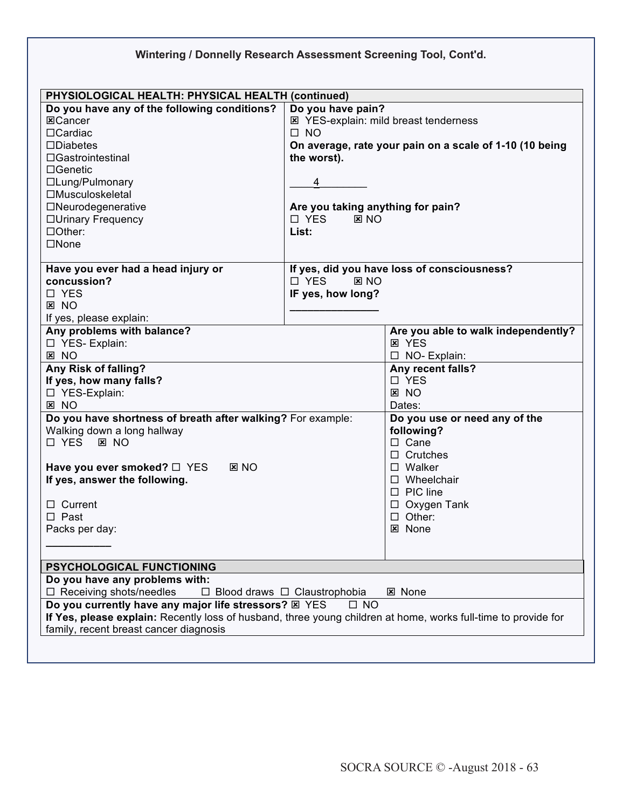| Wintering / Donnelly Research Assessment Screening Tool, Cont'd.                                                                                                                                                  |                                                            |                                                                                                         |  |  |  |
|-------------------------------------------------------------------------------------------------------------------------------------------------------------------------------------------------------------------|------------------------------------------------------------|---------------------------------------------------------------------------------------------------------|--|--|--|
|                                                                                                                                                                                                                   |                                                            |                                                                                                         |  |  |  |
| PHYSIOLOGICAL HEALTH: PHYSICAL HEALTH (continued)<br>Do you have any of the following conditions?                                                                                                                 | Do you have pain?                                          |                                                                                                         |  |  |  |
| 区Cancer<br>□Cardiac<br>$\square$ Diabetes<br>$\Box$ Gastrointestinal                                                                                                                                              | $\Box$ NO                                                  | <b>E</b> YES-explain: mild breast tenderness<br>On average, rate your pain on a scale of 1-10 (10 being |  |  |  |
| $\Box$ Genetic<br>□Lung/Pulmonary<br>□Musculoskeletal                                                                                                                                                             | the worst).<br>4                                           |                                                                                                         |  |  |  |
| $\Box$ Neurodegenerative<br>□Urinary Frequency<br>□Other:<br>$\square$ None                                                                                                                                       | Are you taking anything for pain?<br>□ YES<br>RNO<br>List: |                                                                                                         |  |  |  |
| Have you ever had a head injury or<br>concussion?<br>□ YES<br><b>E</b> NO                                                                                                                                         | □ YES<br>RNO<br>IF yes, how long?                          | If yes, did you have loss of consciousness?                                                             |  |  |  |
| If yes, please explain:                                                                                                                                                                                           |                                                            |                                                                                                         |  |  |  |
| Any problems with balance?<br>□ YES- Explain:<br><b>E</b> NO                                                                                                                                                      |                                                            | Are you able to walk independently?<br><b>E</b> YES<br>□ NO- Explain:                                   |  |  |  |
| <b>Any Risk of falling?</b><br>If yes, how many falls?<br>□ YES-Explain:<br><b>E</b> NO                                                                                                                           |                                                            | Any recent falls?<br>□ YES<br><b>E</b> NO<br>Dates:                                                     |  |  |  |
| Do you have shortness of breath after walking? For example:<br>Walking down a long hallway<br>□ YES<br>$\boxtimes$ NO                                                                                             |                                                            | Do you use or need any of the<br>following?<br>$\Box$ Cane<br>$\Box$ Crutches                           |  |  |  |
| Have you ever smoked? □ YES<br><b>E</b> NO<br>If yes, answer the following.                                                                                                                                       |                                                            | $\square$ Walker<br>$\Box$ Wheelchair<br>$\Box$ PIC line<br>$\Box$ Oxygen Tank                          |  |  |  |
| $\Box$ Current<br>$\Box$ Past                                                                                                                                                                                     |                                                            | $\Box$ Other:                                                                                           |  |  |  |
| Packs per day:                                                                                                                                                                                                    |                                                            | <b>図 None</b>                                                                                           |  |  |  |
|                                                                                                                                                                                                                   |                                                            |                                                                                                         |  |  |  |
| PSYCHOLOGICAL FUNCTIONING                                                                                                                                                                                         |                                                            |                                                                                                         |  |  |  |
| Do you have any problems with:<br>$\Box$ Receiving shots/needles<br>$\Box$ Blood draws $\Box$ Claustrophobia<br><b>図 None</b>                                                                                     |                                                            |                                                                                                         |  |  |  |
| Do you currently have any major life stressors? E YES<br>If Yes, please explain: Recently loss of husband, three young children at home, works full-time to provide for<br>family, recent breast cancer diagnosis | $\Box$ NO                                                  |                                                                                                         |  |  |  |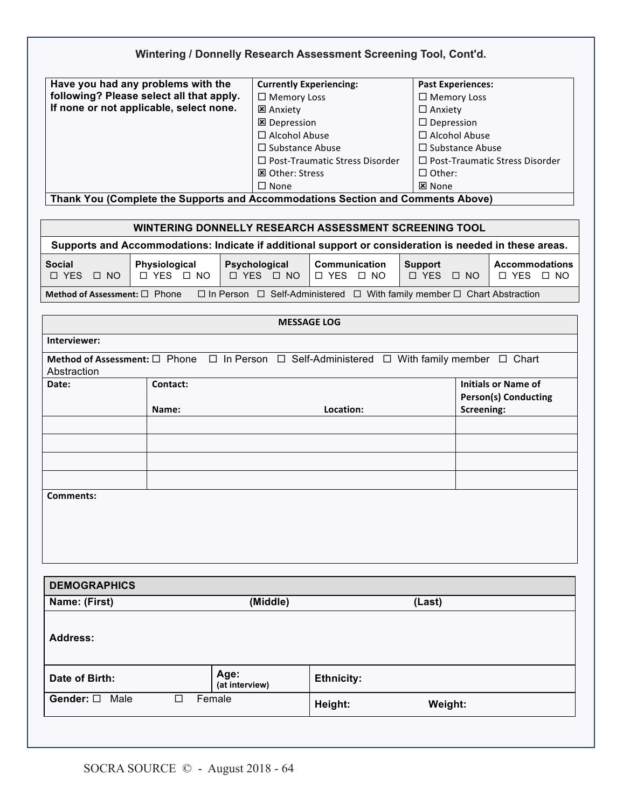| Have you had any problems with the<br><b>Currently Experiencing:</b><br><b>Past Experiences:</b><br>following? Please select all that apply.<br>$\Box$ Memory Loss<br>$\Box$ Memory Loss<br>If none or not applicable, select none.<br><b>E</b> Anxiety<br>$\Box$ Anxiety<br>$\Box$ Depression<br><b>区</b> Depression<br>□ Alcohol Abuse<br>□ Alcohol Abuse<br>$\square$ Substance Abuse<br>$\Box$ Substance Abuse<br>$\Box$ Post-Traumatic Stress Disorder<br>$\Box$ Post-Traumatic Stress Disorder<br>$\Box$ Other:<br><b>図 Other: Stress</b><br>区 None<br>$\Box$ None<br>Thank You (Complete the Supports and Accommodations Section and Comments Above)<br>WINTERING DONNELLY RESEARCH ASSESSMENT SCREENING TOOL<br>Supports and Accommodations: Indicate if additional support or consideration is needed in these areas.<br>Physiological<br>Psychological<br><b>Communication</b><br><b>Social</b><br><b>Support</b><br><b>Accommodations</b><br>□ YES □ NO<br>$\Box$ YES $\Box$ NO<br>$\Box$ YES $\Box$ NO<br>$\Box$ YES $\Box$ NO<br>$\Box$ YES<br>$\Box$ NO<br>$\Box$ YES $\Box$ NO<br>Method of Assessment: □ Phone<br>$\Box$ In Person $\Box$ Self-Administered $\Box$ With family member $\Box$ Chart Abstraction<br><b>MESSAGE LOG</b><br>Interviewer:<br>Method of Assessment: $\Box$ Phone $\Box$ In Person $\Box$ Self-Administered $\Box$ With family member $\Box$ Chart<br>Abstraction<br>Initials or Name of<br>Date:<br>Contact:<br><b>Person(s) Conducting</b><br>Location:<br>Screening:<br>Name:<br>Comments:<br><b>DEMOGRAPHICS</b><br>Name: (First)<br>(Middle)<br>(Last)<br><b>Address:</b><br>Age:<br>Date of Birth:<br><b>Ethnicity:</b><br>(at interview)<br>Gender: $\square$<br>Male<br>Female<br>П<br>Height:<br>Weight: |  |  |  |  | Wintering / Donnelly Research Assessment Screening Tool, Cont'd. |  |  |
|------------------------------------------------------------------------------------------------------------------------------------------------------------------------------------------------------------------------------------------------------------------------------------------------------------------------------------------------------------------------------------------------------------------------------------------------------------------------------------------------------------------------------------------------------------------------------------------------------------------------------------------------------------------------------------------------------------------------------------------------------------------------------------------------------------------------------------------------------------------------------------------------------------------------------------------------------------------------------------------------------------------------------------------------------------------------------------------------------------------------------------------------------------------------------------------------------------------------------------------------------------------------------------------------------------------------------------------------------------------------------------------------------------------------------------------------------------------------------------------------------------------------------------------------------------------------------------------------------------------------------------------------------------------------------------------------------------------------------------------------------------|--|--|--|--|------------------------------------------------------------------|--|--|
|                                                                                                                                                                                                                                                                                                                                                                                                                                                                                                                                                                                                                                                                                                                                                                                                                                                                                                                                                                                                                                                                                                                                                                                                                                                                                                                                                                                                                                                                                                                                                                                                                                                                                                                                                            |  |  |  |  |                                                                  |  |  |
|                                                                                                                                                                                                                                                                                                                                                                                                                                                                                                                                                                                                                                                                                                                                                                                                                                                                                                                                                                                                                                                                                                                                                                                                                                                                                                                                                                                                                                                                                                                                                                                                                                                                                                                                                            |  |  |  |  |                                                                  |  |  |
|                                                                                                                                                                                                                                                                                                                                                                                                                                                                                                                                                                                                                                                                                                                                                                                                                                                                                                                                                                                                                                                                                                                                                                                                                                                                                                                                                                                                                                                                                                                                                                                                                                                                                                                                                            |  |  |  |  |                                                                  |  |  |
|                                                                                                                                                                                                                                                                                                                                                                                                                                                                                                                                                                                                                                                                                                                                                                                                                                                                                                                                                                                                                                                                                                                                                                                                                                                                                                                                                                                                                                                                                                                                                                                                                                                                                                                                                            |  |  |  |  |                                                                  |  |  |
|                                                                                                                                                                                                                                                                                                                                                                                                                                                                                                                                                                                                                                                                                                                                                                                                                                                                                                                                                                                                                                                                                                                                                                                                                                                                                                                                                                                                                                                                                                                                                                                                                                                                                                                                                            |  |  |  |  |                                                                  |  |  |
|                                                                                                                                                                                                                                                                                                                                                                                                                                                                                                                                                                                                                                                                                                                                                                                                                                                                                                                                                                                                                                                                                                                                                                                                                                                                                                                                                                                                                                                                                                                                                                                                                                                                                                                                                            |  |  |  |  |                                                                  |  |  |
|                                                                                                                                                                                                                                                                                                                                                                                                                                                                                                                                                                                                                                                                                                                                                                                                                                                                                                                                                                                                                                                                                                                                                                                                                                                                                                                                                                                                                                                                                                                                                                                                                                                                                                                                                            |  |  |  |  |                                                                  |  |  |
|                                                                                                                                                                                                                                                                                                                                                                                                                                                                                                                                                                                                                                                                                                                                                                                                                                                                                                                                                                                                                                                                                                                                                                                                                                                                                                                                                                                                                                                                                                                                                                                                                                                                                                                                                            |  |  |  |  |                                                                  |  |  |
|                                                                                                                                                                                                                                                                                                                                                                                                                                                                                                                                                                                                                                                                                                                                                                                                                                                                                                                                                                                                                                                                                                                                                                                                                                                                                                                                                                                                                                                                                                                                                                                                                                                                                                                                                            |  |  |  |  |                                                                  |  |  |
|                                                                                                                                                                                                                                                                                                                                                                                                                                                                                                                                                                                                                                                                                                                                                                                                                                                                                                                                                                                                                                                                                                                                                                                                                                                                                                                                                                                                                                                                                                                                                                                                                                                                                                                                                            |  |  |  |  |                                                                  |  |  |
|                                                                                                                                                                                                                                                                                                                                                                                                                                                                                                                                                                                                                                                                                                                                                                                                                                                                                                                                                                                                                                                                                                                                                                                                                                                                                                                                                                                                                                                                                                                                                                                                                                                                                                                                                            |  |  |  |  |                                                                  |  |  |
|                                                                                                                                                                                                                                                                                                                                                                                                                                                                                                                                                                                                                                                                                                                                                                                                                                                                                                                                                                                                                                                                                                                                                                                                                                                                                                                                                                                                                                                                                                                                                                                                                                                                                                                                                            |  |  |  |  |                                                                  |  |  |
|                                                                                                                                                                                                                                                                                                                                                                                                                                                                                                                                                                                                                                                                                                                                                                                                                                                                                                                                                                                                                                                                                                                                                                                                                                                                                                                                                                                                                                                                                                                                                                                                                                                                                                                                                            |  |  |  |  |                                                                  |  |  |
|                                                                                                                                                                                                                                                                                                                                                                                                                                                                                                                                                                                                                                                                                                                                                                                                                                                                                                                                                                                                                                                                                                                                                                                                                                                                                                                                                                                                                                                                                                                                                                                                                                                                                                                                                            |  |  |  |  |                                                                  |  |  |
|                                                                                                                                                                                                                                                                                                                                                                                                                                                                                                                                                                                                                                                                                                                                                                                                                                                                                                                                                                                                                                                                                                                                                                                                                                                                                                                                                                                                                                                                                                                                                                                                                                                                                                                                                            |  |  |  |  |                                                                  |  |  |
|                                                                                                                                                                                                                                                                                                                                                                                                                                                                                                                                                                                                                                                                                                                                                                                                                                                                                                                                                                                                                                                                                                                                                                                                                                                                                                                                                                                                                                                                                                                                                                                                                                                                                                                                                            |  |  |  |  |                                                                  |  |  |
|                                                                                                                                                                                                                                                                                                                                                                                                                                                                                                                                                                                                                                                                                                                                                                                                                                                                                                                                                                                                                                                                                                                                                                                                                                                                                                                                                                                                                                                                                                                                                                                                                                                                                                                                                            |  |  |  |  |                                                                  |  |  |
|                                                                                                                                                                                                                                                                                                                                                                                                                                                                                                                                                                                                                                                                                                                                                                                                                                                                                                                                                                                                                                                                                                                                                                                                                                                                                                                                                                                                                                                                                                                                                                                                                                                                                                                                                            |  |  |  |  |                                                                  |  |  |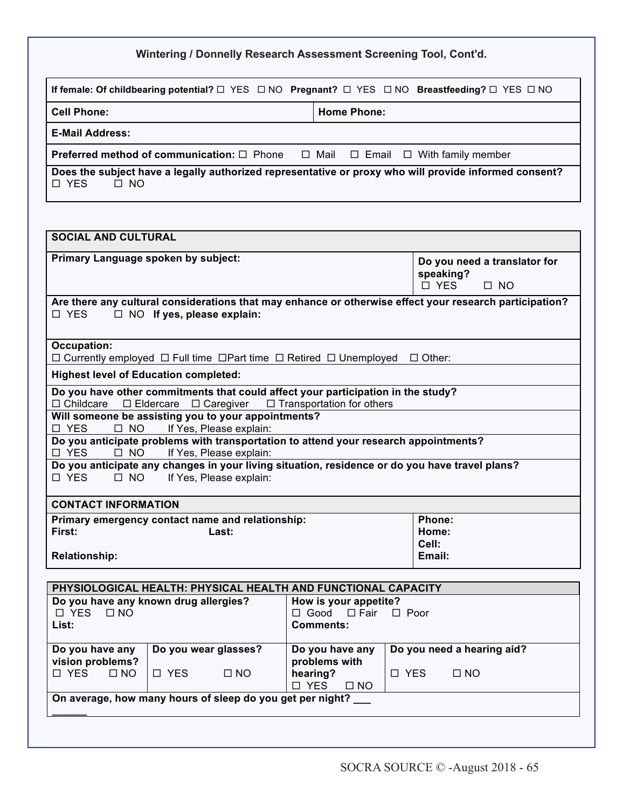|  |  | Wintering / Donnelly Research Assessment Screening Tool, Cont'd. |
|--|--|------------------------------------------------------------------|
|--|--|------------------------------------------------------------------|

| If female: Of childbearing potential? $\square$ YES $\square$ NO Pregnant? $\square$ YES $\square$ NO Breastfeeding? $\square$ YES $\square$ NO |                    |
|-------------------------------------------------------------------------------------------------------------------------------------------------|--------------------|
| <b>Cell Phone:</b>                                                                                                                              | <b>Home Phone:</b> |
| <b>E-Mail Address:</b>                                                                                                                          |                    |
| <b>Preferred method of communication:</b> $\Box$ Phone $\Box$ Mail $\Box$ Email $\Box$ With family member                                       |                    |
| Does the subject have a legally authorized representative or proxy who will provide informed consent?<br>□ YES<br>$\Box$ NO                     |                    |

| <b>SOCIAL AND CULTURAL</b>                                                                                                                                              |                                                                      |
|-------------------------------------------------------------------------------------------------------------------------------------------------------------------------|----------------------------------------------------------------------|
| Primary Language spoken by subject:                                                                                                                                     | Do you need a translator for<br>speaking?<br>$\Box$ YES<br>$\Box$ NO |
| Are there any cultural considerations that may enhance or otherwise effect your research participation?<br>$\Box$ NO If yes, please explain:<br>$\Box$ YES              |                                                                      |
| <b>Occupation:</b><br>$\Box$ Currently employed $\Box$ Full time $\Box$ Part time $\Box$ Retired $\Box$ Unemployed $\Box$ Other:                                        |                                                                      |
| <b>Highest level of Education completed:</b>                                                                                                                            |                                                                      |
| Do you have other commitments that could affect your participation in the study?<br>$\Box$ Childcare $\Box$ Eldercare $\Box$ Caregiver $\Box$ Transportation for others |                                                                      |
| Will someone be assisting you to your appointments?<br>If Yes, Please explain:<br>□ YES<br>$\Box$ NO                                                                    |                                                                      |
| Do you anticipate problems with transportation to attend your research appointments?<br>□ YES<br>$\Box$ NO<br>If Yes, Please explain:                                   |                                                                      |
| Do you anticipate any changes in your living situation, residence or do you have travel plans?<br>If Yes, Please explain:<br>□ YES<br>$\Box$ NO                         |                                                                      |
| <b>CONTACT INFORMATION</b>                                                                                                                                              |                                                                      |
| Primary emergency contact name and relationship:<br>First:<br>Last:<br><b>Relationship:</b>                                                                             | Phone:<br>Home:<br>Cell:<br>Email:                                   |
| <b>DHVSIOLOGICAL HEALTH: DHVSICAL HEALTH AND ELINCTIONAL CADACITY</b>                                                                                                   |                                                                      |

| PHYSIOLOGICAL HEALTH: PHYSICAL HEALTH AND FUNCTIONAL CAPACITY |                         |                                     |                            |
|---------------------------------------------------------------|-------------------------|-------------------------------------|----------------------------|
| Do you have any known drug allergies?                         |                         | How is your appetite?               |                            |
| □ YES<br>$\Box$ NO                                            |                         | $\Box$ Good $\Box$ Fair $\Box$ Poor |                            |
| List:                                                         |                         | Comments:                           |                            |
|                                                               |                         |                                     |                            |
| Do you have any                                               | Do you wear glasses?    | Do you have any                     | Do you need a hearing aid? |
| vision problems?                                              |                         | problems with                       |                            |
| $\Box$ NO<br>□ YES                                            | $\Box$ YES<br>$\Box$ NO | hearing?                            | □ YES<br>$\Box$ NO         |
|                                                               |                         | □ YES<br>$\Box$ NO                  |                            |
| On average, how many hours of sleep do you get per night?     |                         |                                     |                            |
|                                                               |                         |                                     |                            |

<u>11</u>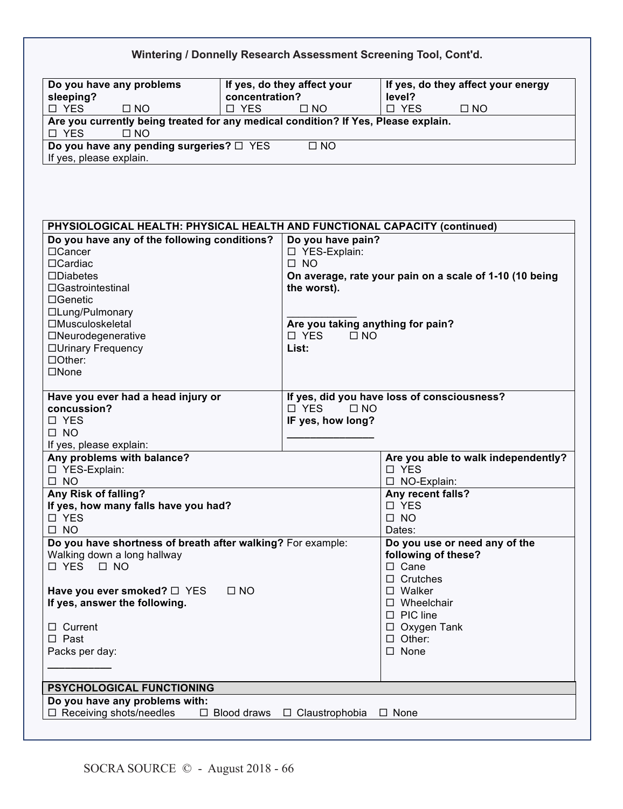|                                                                                                          |                |                                          | Wintering / Donnelly Research Assessment Screening Tool, Cont'd. |
|----------------------------------------------------------------------------------------------------------|----------------|------------------------------------------|------------------------------------------------------------------|
| Do you have any problems                                                                                 |                | If yes, do they affect your              | If yes, do they affect your energy                               |
| sleeping?                                                                                                | concentration? |                                          | level?                                                           |
| □ YES<br>$\square$ NO                                                                                    | □ YES          | $\square$ NO                             | □ YES<br>$\square$ NO                                            |
| Are you currently being treated for any medical condition? If Yes, Please explain.<br>□ YES<br>$\Box$ NO |                |                                          |                                                                  |
| Do you have any pending surgeries? □ YES                                                                 |                | $\square$ NO                             |                                                                  |
| If yes, please explain.                                                                                  |                |                                          |                                                                  |
| PHYSIOLOGICAL HEALTH: PHYSICAL HEALTH AND FUNCTIONAL CAPACITY (continued)                                |                |                                          |                                                                  |
| Do you have any of the following conditions?                                                             |                | Do you have pain?                        |                                                                  |
| □Cancer                                                                                                  |                | □ YES-Explain:                           |                                                                  |
| $\Box$ Cardiac                                                                                           |                | $\Box$ NO                                |                                                                  |
| $\square$ Diabetes                                                                                       |                |                                          | On average, rate your pain on a scale of 1-10 (10 being          |
| □Gastrointestinal                                                                                        |                | the worst).                              |                                                                  |
| $\Box$ Genetic                                                                                           |                |                                          |                                                                  |
| □Lung/Pulmonary                                                                                          |                |                                          |                                                                  |
| □Musculoskeletal                                                                                         |                | Are you taking anything for pain?        |                                                                  |
| □Neurodegenerative                                                                                       |                | □ YES<br>$\square$ NO                    |                                                                  |
| □Urinary Frequency                                                                                       |                | List:                                    |                                                                  |
| □Other:                                                                                                  |                |                                          |                                                                  |
| $\square$ None                                                                                           |                |                                          |                                                                  |
| Have you ever had a head injury or                                                                       |                |                                          | If yes, did you have loss of consciousness?                      |
| concussion?                                                                                              |                | □ YES<br>$\square$ NO                    |                                                                  |
| $\Box$ YES                                                                                               |                | IF yes, how long?                        |                                                                  |
| $\Box$ NO                                                                                                |                |                                          |                                                                  |
| If yes, please explain:                                                                                  |                |                                          |                                                                  |
| Any problems with balance?                                                                               |                |                                          | Are you able to walk independently?                              |
| □ YES-Explain:                                                                                           |                |                                          | □ YES                                                            |
| $\Box$ NO                                                                                                |                |                                          | □ NO-Explain:                                                    |
| Any Risk of falling?                                                                                     |                |                                          | Any recent falls?                                                |
| If yes, how many falls have you had?                                                                     |                |                                          | □ YES                                                            |
| □ YES<br>$\square$ NO                                                                                    |                |                                          | $\square$ NO                                                     |
| Do you have shortness of breath after walking? For example:                                              |                |                                          | Dates:<br>Do you use or need any of the                          |
| Walking down a long hallway                                                                              |                |                                          | following of these?                                              |
| $\Box$ YES $\Box$ NO                                                                                     |                |                                          | $\square$ Cane                                                   |
|                                                                                                          |                |                                          | $\Box$ Crutches                                                  |
| Have you ever smoked? □ YES                                                                              | $\square$ NO   |                                          | $\square$ Walker                                                 |
| If yes, answer the following.                                                                            |                |                                          | $\square$ Wheelchair                                             |
|                                                                                                          |                |                                          | $\Box$ PIC line                                                  |
| $\Box$ Current                                                                                           |                |                                          | $\Box$ Oxygen Tank                                               |
| $\square$ Past                                                                                           |                |                                          | $\Box$ Other:                                                    |
| Packs per day:                                                                                           |                |                                          | $\square$ None                                                   |
|                                                                                                          |                |                                          |                                                                  |
| PSYCHOLOGICAL FUNCTIONING                                                                                |                |                                          |                                                                  |
| Do you have any problems with:                                                                           |                |                                          |                                                                  |
| $\Box$ Receiving shots/needles                                                                           |                | $\Box$ Blood draws $\Box$ Claustrophobia | □ None                                                           |
|                                                                                                          |                |                                          |                                                                  |

12